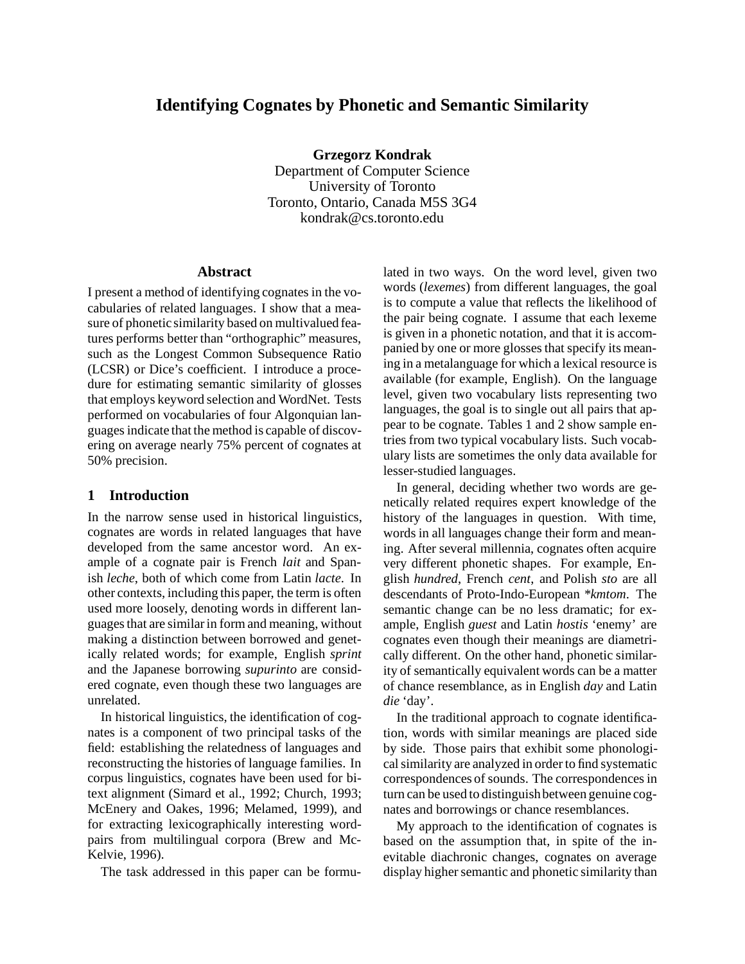# **Identifying Cognates by Phonetic and Semantic Similarity**

**Grzegorz Kondrak** Department of Computer Science University of Toronto Toronto, Ontario, Canada M5S 3G4 kondrak@cs.toronto.edu

## **Abstract**

I present a method of identifying cognates in the vocabularies of related languages. I show that a measure of phonetic similarity based on multivalued features performs better than "orthographic" measures, such as the Longest Common Subsequence Ratio (LCSR) or Dice's coefficient. I introduce a procedure for estimating semantic similarity of glosses that employs keyword selection and WordNet. Tests performed on vocabularies of four Algonquian languages indicate that the method is capable of discovering on average nearly 75% percent of cognates at 50% precision.

# **1 Introduction**

In the narrow sense used in historical linguistics, cognates are words in related languages that have developed from the same ancestor word. An example of a cognate pair is French *lait* and Spanish *leche*, both of which come from Latin *lacte*. In other contexts, including this paper, the term is often used more loosely, denoting words in different languages that are similar in form and meaning, without making a distinction between borrowed and genetically related words; for example, English *sprint* and the Japanese borrowing *supurinto* are considered cognate, even though these two languages are unrelated.

In historical linguistics, the identification of cognates is a component of two principal tasks of the field: establishing the relatedness of languages and reconstructing the histories of language families. In corpus linguistics, cognates have been used for bitext alignment (Simard et al., 1992; Church, 1993; McEnery and Oakes, 1996; Melamed, 1999), and for extracting lexicographically interesting wordpairs from multilingual corpora (Brew and Mc-Kelvie, 1996).

The task addressed in this paper can be formu-

lated in two ways. On the word level, given two words (*lexemes*) from different languages, the goal is to compute a value that reflects the likelihood of the pair being cognate. I assume that each lexeme is given in a phonetic notation, and that it is accompanied by one or more glosses that specify its meaning in a metalanguage for which a lexical resource is available (for example, English). On the language level, given two vocabulary lists representing two languages, the goal is to single out all pairs that appear to be cognate. Tables 1 and 2 show sample entries from two typical vocabulary lists. Such vocabulary lists are sometimes the only data available for lesser-studied languages.

In general, deciding whether two words are genetically related requires expert knowledge of the history of the languages in question. With time, words in all languages change their form and meaning. After several millennia, cognates often acquire very different phonetic shapes. For example, English *hundred*, French *cent*, and Polish *sto* are all descendants of Proto-Indo-European *\*kmtom*. The semantic change can be no less dramatic; for example, English *guest* and Latin *hostis* 'enemy' are cognates even though their meanings are diametrically different. On the other hand, phonetic similarity of semantically equivalent words can be a matter of chance resemblance, as in English *day* and Latin *die* 'day'.

In the traditional approach to cognate identification, words with similar meanings are placed side by side. Those pairs that exhibit some phonological similarity are analyzed in order to find systematic correspondences of sounds. The correspondences in turn can be used to distinguishbetween genuine cognates and borrowings or chance resemblances.

My approach to the identification of cognates is based on the assumption that, in spite of the inevitable diachronic changes, cognates on average display higher semantic and phonetic similarity than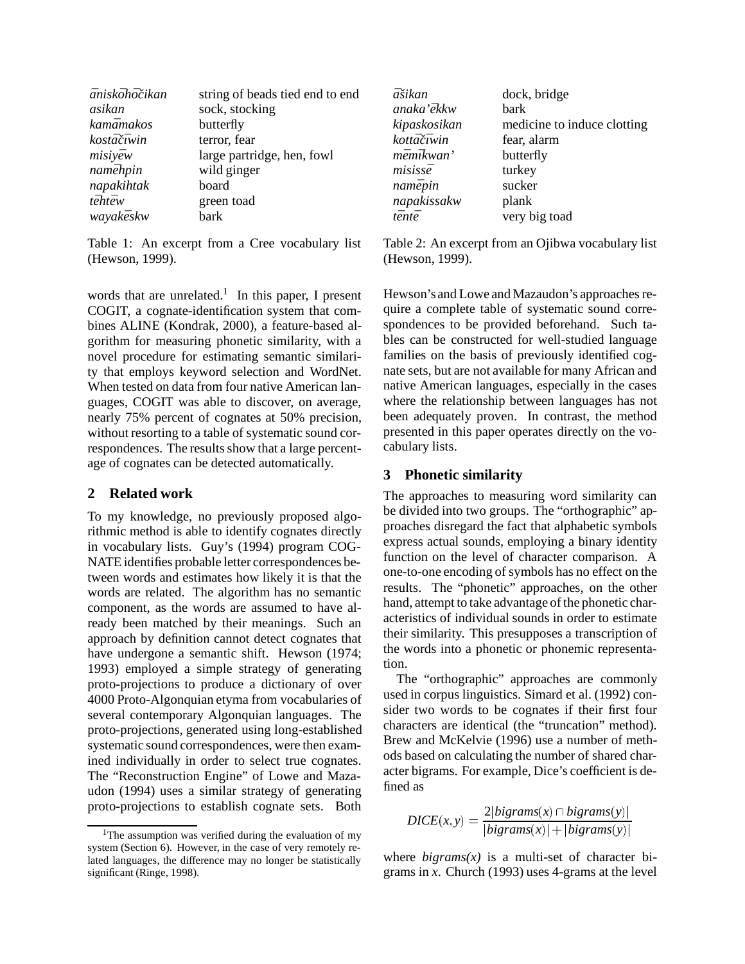| āniskōhōčikan   | string of beads tied end to end |
|-----------------|---------------------------------|
| asikan          | sock, stocking                  |
| kamāmakos       | butterfly                       |
| kostāčīwin      | terror, fear                    |
| $misiy\bar{e}w$ | large partridge, hen, fowl      |
| namēhpin        | wild ginger                     |
| napakihtak      | board                           |
| tēhtēw          | green toad                      |
| wayakēskw       | hark                            |

Table 1: An excerpt from a Cree vocabulary list (Hewson, 1999).

words that are unrelated.<sup>1</sup> In this paper, I present COGIT, a cognate-identification system that combines ALINE (Kondrak, 2000), a feature-based algorithm for measuring phonetic similarity, with a novel procedure for estimating semantic similarity that employs keyword selection and WordNet. When tested on data from four native American languages, COGIT was able to discover, on average, nearly 75% percent of cognates at 50% precision, without resorting to a table of systematic sound correspondences. The results show that a large percentage of cognates can be detected automatically.

# **2 Related work**

To my knowledge, no previously proposed algorithmic method is able to identify cognates directly in vocabulary lists. Guy's (1994) program COG-NATE identifies probable letter correspondences between words and estimates how likely it is that the words are related. The algorithm has no semantic component, as the words are assumed to have already been matched by their meanings. Such an approach by definition cannot detect cognates that have undergone a semantic shift. Hewson (1974; 1993) employed a simple strategy of generating proto-projections to produce a dictionary of over 4000 Proto-Algonquian etyma from vocabularies of several contemporary Algonquian languages. The proto-projections, generated using long-established systematic sound correspondences, were then examined individually in order to select true cognates. The "Reconstruction Engine" of Lowe and Mazaudon (1994) uses a similar strategy of generating proto-projections to establish cognate sets. Both

| āšikan         | dock, bridge                |
|----------------|-----------------------------|
| anaka'ēkkw     | bark                        |
| kipaskosikan   | medicine to induce clotting |
| kottāčīwin     | fear, alarm                 |
| mēmīkwan'      | butterfly                   |
| $misis\bar{e}$ | turkey                      |
| namēpin        | sucker                      |
| napakissakw    | plank                       |
| tēntē          | very big toad               |
|                |                             |

Table 2: An excerpt from an Ojibwa vocabulary list (Hewson, 1999).

Hewson'sand Lowe and Mazaudon's approaches require a complete table of systematic sound correspondences to be provided beforehand. Such tables can be constructed for well-studied language families on the basis of previously identified cognate sets, but are not available for many African and native American languages, especially in the cases where the relationship between languages has not been adequately proven. In contrast, the method presented in this paper operates directly on the vocabulary lists.

# **3 Phonetic similarity**

The approaches to measuring word similarity can be divided into two groups. The "orthographic" approaches disregard the fact that alphabetic symbols express actual sounds, employing a binary identity function on the level of character comparison. A one-to-one encoding of symbols has no effect on the results. The "phonetic" approaches, on the other hand, attempt to take advantage of the phonetic characteristics of individual sounds in order to estimate their similarity. This presupposes a transcription of the words into a phonetic or phonemic representation.

The "orthographic" approaches are commonly used in corpus linguistics. Simard et al. (1992) consider two words to be cognates if their first four characters are identical (the "truncation" method). Brew and McKelvie (1996) use a number of methods based on calculating the number of shared character bigrams. For example, Dice's coefficient is defined as

$$
DICE(x, y) = \frac{2|bigrams(x) \cap bigrams(y)|}{|bigrams(x)| + |bigrams(y)|}
$$

where  $bigrams(x)$  is a multi-set of character bigrams in *x*. Church (1993) uses 4-grams at the level

<sup>&</sup>lt;sup>1</sup>The assumption was verified during the evaluation of my system (Section 6). However, in the case of very remotely related languages, the difference may no longer be statistically significant (Ringe, 1998).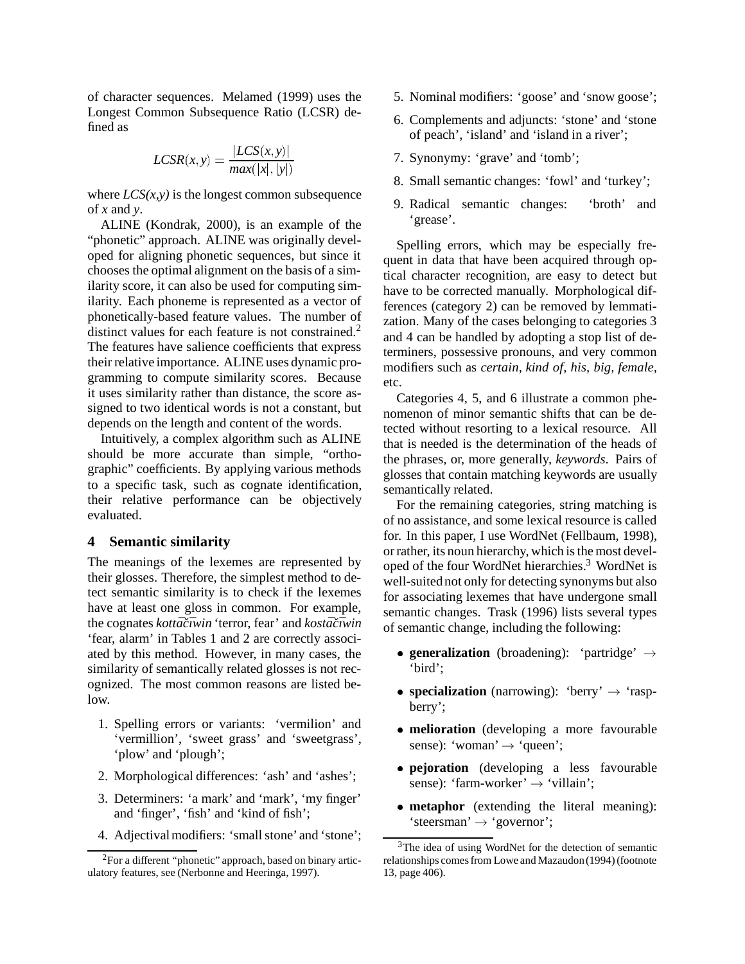of character sequences. Melamed (1999) uses the Longest Common Subsequence Ratio (LCSR) defined as

$$
LCSR(x,y)=\frac{|LCS(x,y)|}{max(|x|,|y|)}
$$

where  $LCS(x, y)$  is the longest common subsequence of *x* and *y*.

ALINE (Kondrak, 2000), is an example of the "phonetic" approach. ALINE was originally developed for aligning phonetic sequences, but since it chooses the optimal alignment on the basis of a similarity score, it can also be used for computing similarity. Each phoneme is represented as a vector of phonetically-based feature values. The number of distinct values for each feature is not constrained.<sup>2</sup> The features have salience coefficients that express their relative importance. ALINE uses dynamic programming to compute similarity scores. Because it uses similarity rather than distance, the score assigned to two identical words is not a constant, but depends on the length and content of the words.

Intuitively, a complex algorithm such as ALINE should be more accurate than simple, "orthographic" coefficients. By applying various methods to a specific task, such as cognate identification, their relative performance can be objectively evaluated.

## **4 Semantic similarity**

The meanings of the lexemes are represented by their glosses. Therefore, the simplest method to detect semantic similarity is to check if the lexemes have at least one gloss in common. For example, the cognates *kottāčīwin* 'terror, fear' and *kostāčīwin* 'fear, alarm' in Tables 1 and 2 are correctly associated by this method. However, in many cases, the similarity of semantically related glosses is not recognized. The most common reasons are listed below.

- 1. Spelling errors or variants: 'vermilion' and 'vermillion', 'sweet grass' and 'sweetgrass', 'plow' and 'plough';
- 2. Morphological differences: 'ash' and 'ashes';
- 3. Determiners: 'a mark' and 'mark', 'my finger' and 'finger', 'fish' and 'kind of fish';
- 4. Adjectival modifiers: 'small stone' and 'stone';
- 5. Nominal modifiers: 'goose' and 'snow goose';
- 6. Complements and adjuncts: 'stone' and 'stone of peach', 'island' and 'island in a river';
- 7. Synonymy: 'grave' and 'tomb';
- 8. Small semantic changes: 'fowl' and 'turkey';
- 9. Radical semantic changes: 'broth' and 'grease'.

Spelling errors, which may be especially frequent in data that have been acquired through optical character recognition, are easy to detect but have to be corrected manually. Morphological differences (category 2) can be removed by lemmatization. Many of the cases belonging to categories 3 and 4 can be handled by adopting a stop list of determiners, possessive pronouns, and very common modifiers such as *certain, kind of, his, big, female,* etc.

Categories 4, 5, and 6 illustrate a common phenomenon of minor semantic shifts that can be detected without resorting to a lexical resource. All that is needed is the determination of the heads of the phrases, or, more generally, *keywords*. Pairs of glosses that contain matching keywords are usually semantically related.

For the remaining categories, string matching is of no assistance, and some lexical resource is called for. In this paper, I use WordNet (Fellbaum, 1998), or rather, its noun hierarchy, which is the most developed of the four WordNet hierarchies.3 WordNet is well-suited not only for detecting synonyms but also for associating lexemes that have undergone small semantic changes. Trask (1996) lists several types of semantic change, including the following:

- **generalization** (broadening): 'partridge'  $\rightarrow$ 'bird';
- **specialization** (narrowing): 'berry'  $\rightarrow$  'raspberry';
- **melioration** (developing a more favourable sense): 'woman'  $\rightarrow$  'queen';
- **pejoration** (developing a less favourable sense): 'farm-worker'  $\rightarrow$  'villain';
- **metaphor** (extending the literal meaning): 'steersman'  $\rightarrow$  'governor';

<sup>2</sup>For a different "phonetic" approach, based on binary articulatory features, see (Nerbonne and Heeringa, 1997).

<sup>3</sup>The idea of using WordNet for the detection of semantic relationships comes from Lowe and Mazaudon(1994) (footnote 13, page 406).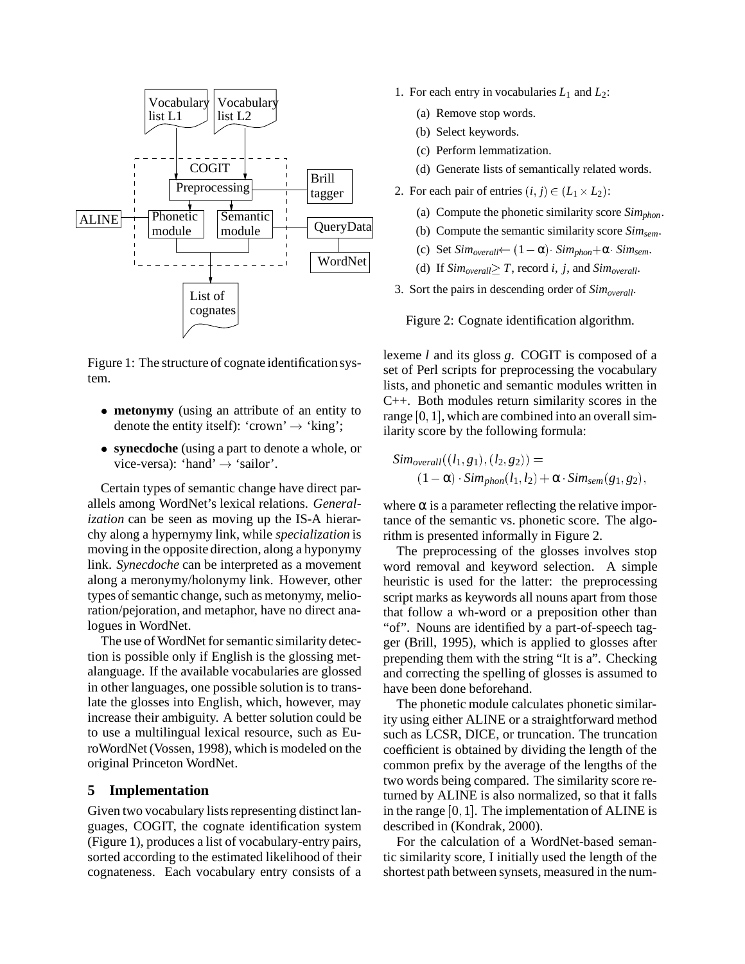

Figure 1: The structure of cognate identification system.

- **metonymy** (using an attribute of an entity to denote the entity itself): 'crown'  $\rightarrow$  'king';
- **synecdoche** (using a part to denote a whole, or vice-versa): 'hand'  $\rightarrow$  'sailor'.

Certain types of semantic change have direct parallels among WordNet's lexical relations. *Generalization* can be seen as moving up the IS-A hierarchy along a hypernymy link, while *specialization* is moving in the opposite direction, along a hyponymy link. *Synecdoche* can be interpreted as a movement along a meronymy/holonymy link. However, other types of semantic change, such as metonymy, melioration/pejoration, and metaphor, have no direct analogues in WordNet.

The use of WordNet for semantic similarity detection is possible only if English is the glossing metalanguage. If the available vocabularies are glossed in other languages, one possible solution is to translate the glosses into English, which, however, may increase their ambiguity. A better solution could be to use a multilingual lexical resource, such as EuroWordNet (Vossen, 1998), which is modeled on the original Princeton WordNet.

#### **5 Implementation**

Given two vocabulary lists representing distinct languages, COGIT, the cognate identification system (Figure 1), produces a list of vocabulary-entry pairs, sorted according to the estimated likelihood of their cognateness. Each vocabulary entry consists of a

- 1. For each entry in vocabularies  $L_1$  and  $L_2$ :
	- (a) Remove stop words.
	- (b) Select keywords.
	- (c) Perform lemmatization.
	- (d) Generate lists of semantically related words.
- 2. For each pair of entries  $(i, j) \in (L_1 \times L_2)$ :
	- (a) Compute the phonetic similarity score *Simphon*.
	- (b) Compute the semantic similarity score *Simsem*.
	- (c) Set  $Sim_{overall} \leftarrow (1 \alpha)$  *Sim<sub>phon</sub>*+ $\alpha$  *Sim<sub>sem</sub>*.
	- (d) If  $Sim_{overall} \geq T$ , record *i*, *j*, and  $Sim_{overall}$ .
- 3. Sort the pairs in descending order of *Simoverall*.

Figure 2: Cognate identification algorithm.

lexeme *l* and its gloss *g*. COGIT is composed of a set of Perl scripts for preprocessing the vocabulary lists, and phonetic and semantic modules written in C++. Both modules return similarity scores in the range  $[0, 1]$ , which are combined into an overall similarity score by the following formula:

$$
Sim_{overall}((l_1, g_1), (l_2, g_2)) =
$$
  

$$
(1 - \alpha) \cdot Sim_{phon}(l_1, l_2) + \alpha \cdot Sim_{sem}(g_1, g_2)
$$

where  $\alpha$  is a parameter reflecting the relative importance of the semantic vs. phonetic score. The algorithm is presented informally in Figure 2.

The preprocessing of the glosses involves stop word removal and keyword selection. A simple heuristic is used for the latter: the preprocessing script marks as keywords all nouns apart from those that follow a wh-word or a preposition other than "of". Nouns are identified by a part-of-speech tagger (Brill, 1995), which is applied to glosses after prepending them with the string "It is a". Checking and correcting the spelling of glosses is assumed to have been done beforehand.

The phonetic module calculates phonetic similarity using either ALINE or a straightforward method such as LCSR, DICE, or truncation. The truncation coefficient is obtained by dividing the length of the common prefix by the average of the lengths of the two words being compared. The similarity score returned by ALINE is also normalized, so that it falls in the range  $[0, 1]$ . The implementation of ALINE is described in (Kondrak, 2000).

For the calculation of a WordNet-based semantic similarity score, I initially used the length of the shortest path between synsets, measured in the num-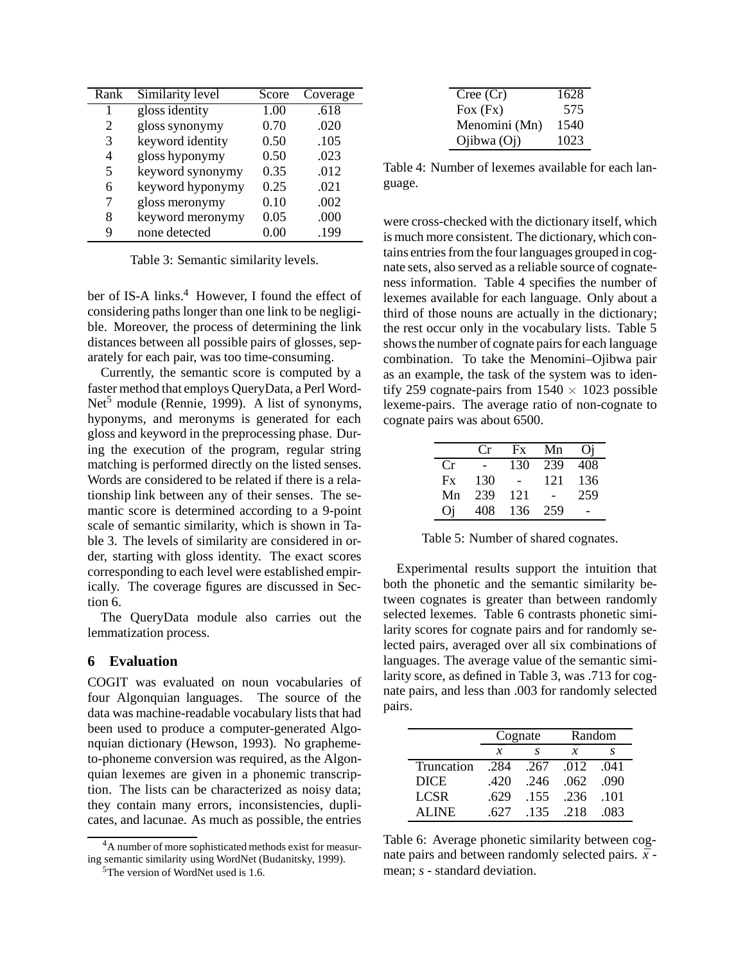| Rank | Similarity level | Score    | Coverage |
|------|------------------|----------|----------|
|      | gloss identity   | 1.00     | .618     |
| 2    | gloss synonymy   | 0.70     | .020     |
| 3    | keyword identity | 0.50     | .105     |
| 4    | gloss hyponymy   | 0.50     | .023     |
| 5    | keyword synonymy | 0.35     | .012     |
| 6    | keyword hyponymy | 0.25     | .021     |
| 7    | gloss meronymy   | 0.10     | .002     |
| 8    | keyword meronymy | 0.05     | .000     |
| 9    | none detected    | $0.00\,$ | .199     |

Table 3: Semantic similarity levels.

ber of IS-A links.<sup>4</sup> However, I found the effect of considering paths longer than one link to be negligible. Moreover, the process of determining the link distances between all possible pairs of glosses, separately for each pair, was too time-consuming.

Currently, the semantic score is computed by a faster method that employs QueryData, a Perl Word- $Net<sup>5</sup>$  module (Rennie, 1999). A list of synonyms, hyponyms, and meronyms is generated for each gloss and keyword in the preprocessing phase. During the execution of the program, regular string matching is performed directly on the listed senses. Words are considered to be related if there is a relationship link between any of their senses. The semantic score is determined according to a 9-point scale of semantic similarity, which is shown in Table 3. The levels of similarity are considered in order, starting with gloss identity. The exact scores corresponding to each level were established empirically. The coverage figures are discussed in Section 6.

The QueryData module also carries out the lemmatization process.

# **6 Evaluation**

COGIT was evaluated on noun vocabularies of four Algonquian languages. The source of the data was machine-readable vocabulary lists that had been used to produce a computer-generated Algonquian dictionary (Hewson, 1993). No graphemeto-phoneme conversion was required, as the Algonquian lexemes are given in a phonemic transcription. The lists can be characterized as noisy data; they contain many errors, inconsistencies, duplicates, and lacunae. As much as possible, the entries

| Cree (Cr)     | 1628 |
|---------------|------|
| Fox $(Fx)$    | 575  |
| Menomini (Mn) | 1540 |
| Ojibwa(Oj)    | 1023 |

Table 4: Number of lexemes available for each language.

were cross-checked with the dictionary itself, which is much more consistent. The dictionary, which contains entries from the four languages grouped in cognate sets, also served as a reliable source of cognateness information. Table 4 specifies the number of lexemes available for each language. Only about a third of those nouns are actually in the dictionary; the rest occur only in the vocabulary lists. Table 5 shows the number of cognate pairs for each language combination. To take the Menomini–Ojibwa pair as an example, the task of the system was to identify 259 cognate-pairs from  $1540 \times 1023$  possible lexeme-pairs. The average ratio of non-cognate to cognate pairs was about 6500.

|    | Сr  | Fx  | Mn  | Oi  |
|----|-----|-----|-----|-----|
| Cr |     | 130 | 239 | 408 |
| Fx | 130 |     | 121 | 136 |
| Mn | 239 | 121 |     | 259 |
| Oi | 408 | 136 | 259 |     |

Table 5: Number of shared cognates.

Experimental results support the intuition that both the phonetic and the semantic similarity between cognates is greater than between randomly selected lexemes. Table 6 contrasts phonetic similarity scores for cognate pairs and for randomly selected pairs, averaged over all six combinations of languages. The average value of the semantic similarity score, as defined in Table 3, was .713 for cognate pairs, and less than .003 for randomly selected pairs.

|              | Cognate      |                   |              | Random |
|--------------|--------------|-------------------|--------------|--------|
|              | $\mathbf{r}$ | S.                | $\mathbf{r}$ | S.     |
| Truncation   | .284         | .267              | .012         | .041   |
| <b>DICE</b>  | .420         | .246              | .062         | .090   |
| <b>LCSR</b>  | .629         | .155              | .236         | .101   |
| <b>ALINE</b> | 627          | $.135 \quad .218$ |              | .083   |

Table 6: Average phonetic similarity between cognate pairs and between randomly selected pairs.  $\bar{x}$  mean; *s* - standard deviation.

<sup>&</sup>lt;sup>4</sup>A number of more sophisticated methods exist for measuring semantic similarity using WordNet (Budanitsky, 1999).

<sup>5</sup>The version of WordNet used is 1.6.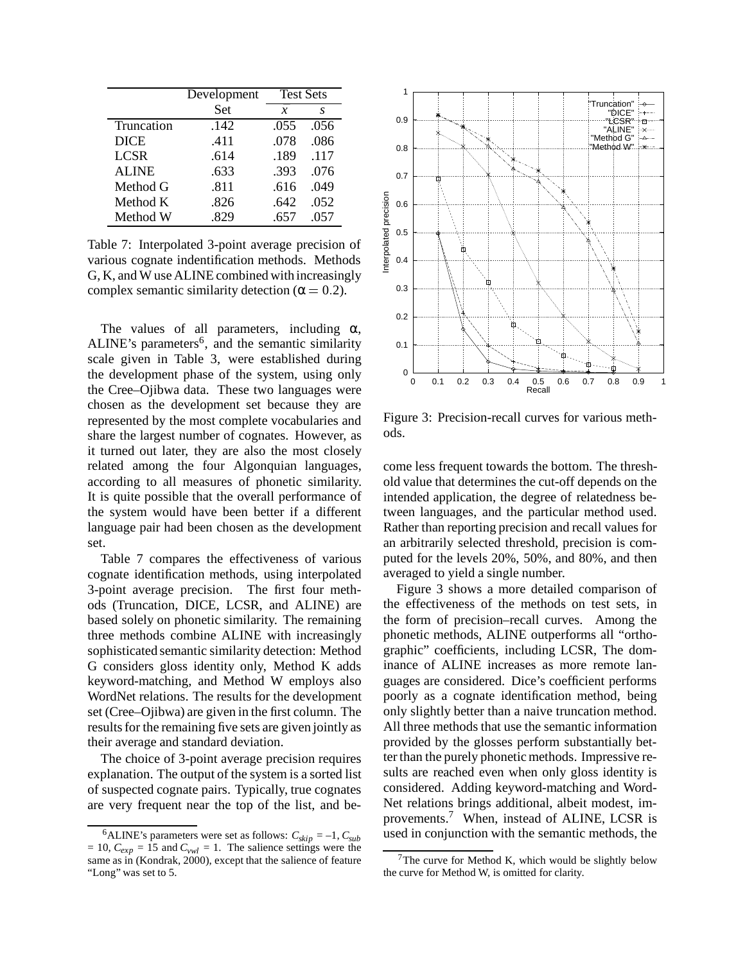|              | Development | <b>Test Sets</b> |      |
|--------------|-------------|------------------|------|
|              | <b>Set</b>  | $\bar{x}$        | S    |
| Truncation   | .142        | .055             | .056 |
| <b>DICE</b>  | .411        | .078             | .086 |
| <b>LCSR</b>  | .614        | .189             | .117 |
| <b>ALINE</b> | .633        | .393             | .076 |
| Method G     | .811        | .616             | .049 |
| Method K     | .826        | .642             | .052 |
| Method W     | .829        | .657             | .057 |

Table 7: Interpolated 3-point average precision of various cognate indentification methods. Methods G, K, and W use ALINE combined with increasingly complex semantic similarity detection ( $\alpha = 0.2$ ).

The values of all parameters, including  $\alpha$ , ALINE's parameters<sup>6</sup>, and the semantic similarity scale given in Table 3, were established during the development phase of the system, using only the Cree–Ojibwa data. These two languages were chosen as the development set because they are represented by the most complete vocabularies and share the largest number of cognates. However, as it turned out later, they are also the most closely related among the four Algonquian languages, according to all measures of phonetic similarity. It is quite possible that the overall performance of the system would have been better if a different language pair had been chosen as the development set.

Table 7 compares the effectiveness of various cognate identification methods, using interpolated 3-point average precision. The first four methods (Truncation, DICE, LCSR, and ALINE) are based solely on phonetic similarity. The remaining three methods combine ALINE with increasingly sophisticated semantic similarity detection: Method G considers gloss identity only, Method K adds keyword-matching, and Method W employs also WordNet relations. The results for the development set (Cree–Ojibwa) are given in the first column. The results for the remaining five sets are given jointly as their average and standard deviation.

The choice of 3-point average precision requires explanation. The output of the system is a sorted list of suspected cognate pairs. Typically, true cognates are very frequent near the top of the list, and be-



Figure 3: Precision-recall curves for various methods.

come less frequent towards the bottom. The threshold value that determines the cut-off depends on the intended application, the degree of relatedness between languages, and the particular method used. Rather than reporting precision and recall values for an arbitrarily selected threshold, precision is computed for the levels 20%, 50%, and 80%, and then averaged to yield a single number.

Figure 3 shows a more detailed comparison of the effectiveness of the methods on test sets, in the form of precision–recall curves. Among the phonetic methods, ALINE outperforms all "orthographic" coefficients, including LCSR, The dominance of ALINE increases as more remote languages are considered. Dice's coefficient performs poorly as a cognate identification method, being only slightly better than a naive truncation method. All three methods that use the semantic information provided by the glosses perform substantially better than the purely phonetic methods. Impressive results are reached even when only gloss identity is considered. Adding keyword-matching and Word-Net relations brings additional, albeit modest, improvements.7 When, instead of ALINE, LCSR is used in conjunction with the semantic methods, the

<sup>&</sup>lt;sup>6</sup>ALINE's parameters were set as follows:  $C_{skip} = -1, C_{sub}$  $= 10$ ,  $C_{exp} = 15$  and  $C_{vwl} = 1$ . The salience settings were the same as in (Kondrak, 2000), except that the salience of feature "Long" was set to 5.

<sup>&</sup>lt;sup>7</sup>The curve for Method K, which would be slightly below the curve for Method W, is omitted for clarity.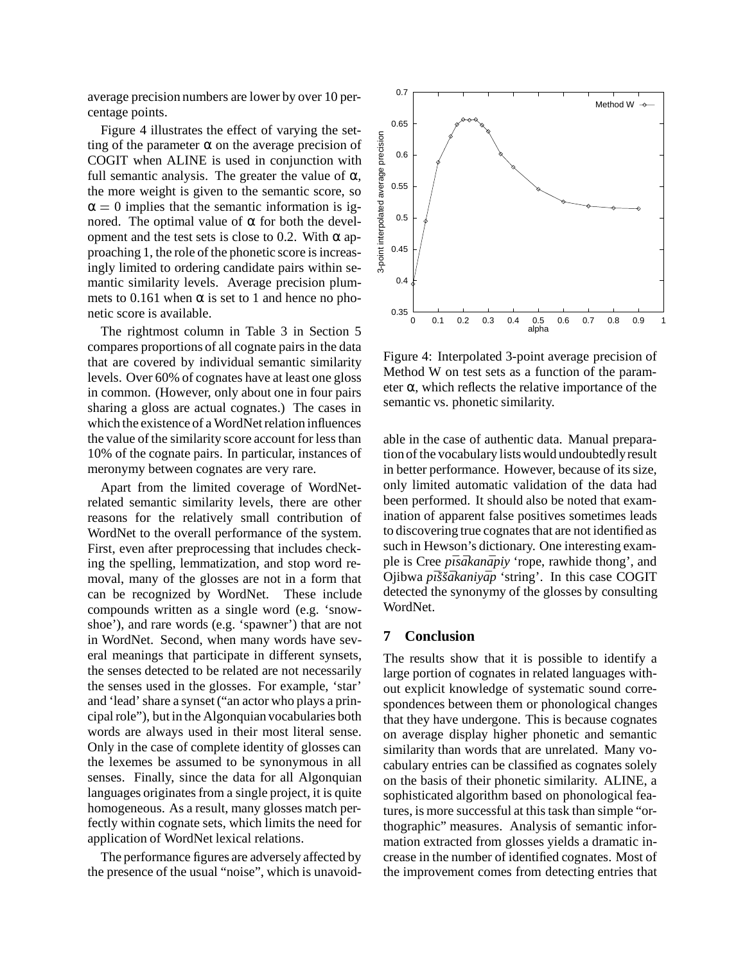average precision numbers are lower by over 10 percentage points.

Figure 4 illustrates the effect of varying the setting of the parameter  $\alpha$  on the average precision of COGIT when ALINE is used in conjunction with full semantic analysis. The greater the value of  $\alpha$ , the more weight is given to the semantic score, so  $\alpha = 0$  implies that the semantic information is ignored. The optimal value of  $α$  for both the development and the test sets is close to 0.2. With  $\alpha$  approaching 1, the role of the phonetic score is increasingly limited to ordering candidate pairs within semantic similarity levels. Average precision plummets to 0.161 when  $\alpha$  is set to 1 and hence no phonetic score is available.

The rightmost column in Table 3 in Section 5 compares proportions of all cognate pairs in the data that are covered by individual semantic similarity levels. Over 60% of cognates have at least one gloss in common. (However, only about one in four pairs sharing a gloss are actual cognates.) The cases in which the existence of a WordNet relation influences the value of the similarity score account for less than 10% of the cognate pairs. In particular, instances of meronymy between cognates are very rare.

Apart from the limited coverage of WordNetrelated semantic similarity levels, there are other reasons for the relatively small contribution of WordNet to the overall performance of the system. First, even after preprocessing that includes checking the spelling, lemmatization, and stop word removal, many of the glosses are not in a form that can be recognized by WordNet. These include compounds written as a single word (e.g. 'snowshoe'), and rare words (e.g. 'spawner') that are not in WordNet. Second, when many words have several meanings that participate in different synsets, the senses detected to be related are not necessarily the senses used in the glosses. For example, 'star' and 'lead' share a synset ("an actor who plays a principal role"), but in the Algonquian vocabularies both words are always used in their most literal sense. Only in the case of complete identity of glosses can the lexemes be assumed to be synonymous in all senses. Finally, since the data for all Algonquian languages originates from a single project, it is quite homogeneous. As a result, many glosses match perfectly within cognate sets, which limits the need for application of WordNet lexical relations.

The performance figures are adversely affected by the presence of the usual "noise", which is unavoid-



Figure 4: Interpolated 3-point average precision of Method W on test sets as a function of the parameter  $\alpha$ , which reflects the relative importance of the semantic vs. phonetic similarity.

able in the case of authentic data. Manual preparation of the vocabulary lists would undoubtedlyresult in better performance. However, because of its size, only limited automatic validation of the data had been performed. It should also be noted that examination of apparent false positives sometimes leads to discovering true cognates that are not identified as such in Hewson's dictionary. One interesting example is Cree *pīsākanāpiy* 'rope, rawhide thong', and Ojibwa *pīššākaniyāp* 'string'. In this case COGIT detected the synonymy of the glosses by consulting WordNet.

# **7 Conclusion**

The results show that it is possible to identify a large portion of cognates in related languages without explicit knowledge of systematic sound correspondences between them or phonological changes that they have undergone. This is because cognates on average display higher phonetic and semantic similarity than words that are unrelated. Many vocabulary entries can be classified as cognates solely on the basis of their phonetic similarity. ALINE, a sophisticated algorithm based on phonological features, is more successful at this task than simple "orthographic" measures. Analysis of semantic information extracted from glosses yields a dramatic increase in the number of identified cognates. Most of the improvement comes from detecting entries that